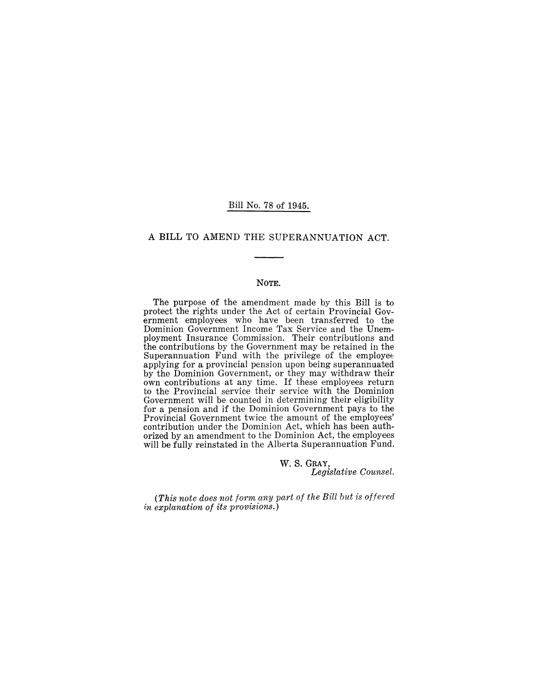#### Bill No. 78 of 1945.

### A **BILL** TO AMEND THE SUPERANNUATION ACT.

#### NOTE.

The purpose of the amendment made by this Bill is to protect the rights under the Act of certain Provincial Government employees who have been transferred to the Dominion Government Income Tax Service and the Unemployment Insurance Commission. Their contributions and the contributions by the Government may be retained in the Superannuation Fund with the privilege of the employee applying for a provincial pension upon being superannuated by the Dominion Government, or they may withdraw their own contributions at any time. If these employees return to the Provincial service their service with the Dominion Government will be counted in determining their eligibility for a pension and if the Dominion Government pays to the Provincial Government twice the amount of the employees' contribution under the Dominion Act, which has been authorized by an amendment to the Dominion Act, the employees will be fully reinstated in the Alberta Superannuation Fund.

> w. S. GRAY, *Legislative Counsel.*

*(This note does not form any part of the Bill but is offered 1:n explanation of its provisions.)*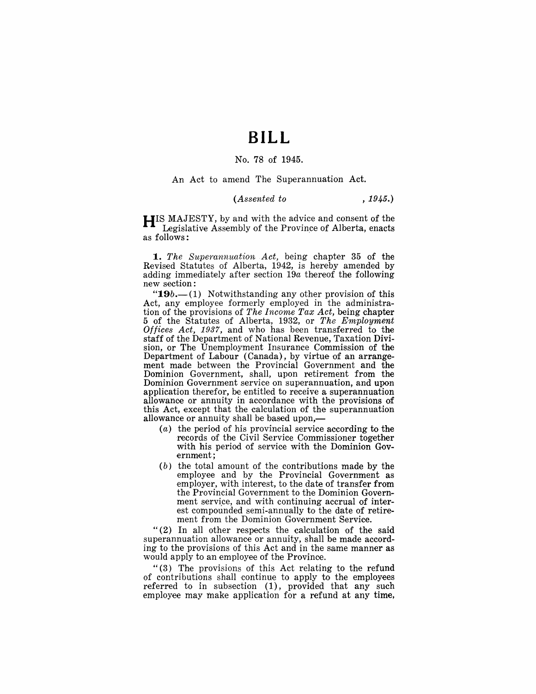# **BILL**

#### No. 78 of 1945.

An Act to amend The Superannuation Act.

#### *(Assented to* , 1945.)

**HIS** MAJESTY, by and with the advice and consent of the Legislative Assembly of the Province of Alberta, enacts as follows:

*1. The Superannuation Act,* being chapter 35 of the Revised Statutes of Alberta, 1942, is hereby amended by adding immediately after section *19a* thereof the following new section:

"19*b*.—(1) Notwithstanding any other provision of this Act, any employee formerly employed in the administration of the provisions of *The Income Tax Act*, being chapter 5 of the Statutes of Alberta, 1932, or *The Employment Offices Act,* 1937, and who has been transferred to the staff of the Department of National Revenue, Taxation Division, or The Unemployment Insurance Commission of the Department of Labour (Canada), by virtue of an arrangement made between the Provincial Government and the Dominion Government, shall, upon retirement from the Dominion Government service on superannuation, and upon application therefor, be entitled to receive a superannuation allowance or annuity in accordance with the provisions of this Act, except that the calculation of the superannuation allowance or annuity shall be based upon,-

- $(a)$  the period of his provincial service according to the records of the Civil Service Commissioner together with his period of service with the Dominion Government;
- (b) the total amount of the contributions made by the employee and by the Provincial Government as employer, with interest, to the date of transfer from the Provincial Government to the Dominion Government service, and with continuing accrual of interest compounded semi-annually to the date of retirement from the Dominion Government Service.

"(2) In all other respects the calculation of the said superannuation allowance or annuity, shall be made according to the provisions of this Act and in the same manner as would apply to an employee of the Province.

"(3) The provisions of this Act relating to the refund of contributions shall continue to apply to the employees referred to in subsection (1), provided that any such employee may make application for a refund at any time,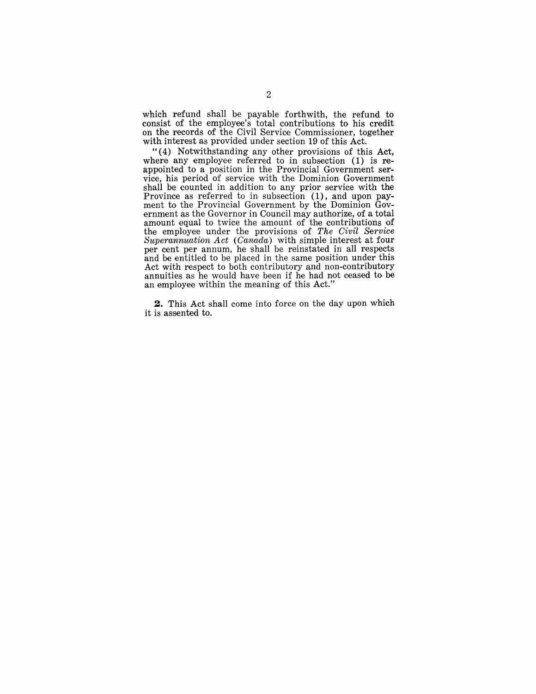which refund shall be payable forthwith, the refund to consist of the employee's total contributions to his credit on the records of the Civil Service Commissioner, together with interest as provided under section 19 of this Act.

"(4) Notwithstanding any other provisions of this Act, where any employee referred to in subsection (1) is reappointed to a position in the Provincial Government service, his period of service with the Dominion Government shall be counted in addition to any prior service with the Province as referred to in subsection (1), and upon payment to the Provincial Government by the Dominion Government as the Governor in Council may authorize, of a total amount equal to twice the amount of the contributions of the employee under the provisions of *The Civil Service Superannuation Act (Canada)* with simple interest at four per cent per annum, he shall be reinstated in all respects and be entitled to be placed in the same position under this Act with respect to both contributory and non-contributory annuities as he would have been if he had not ceased to be an employee within the meaning of this Act."

**2.** This Act shall come into force on the day upon which it is assented to.